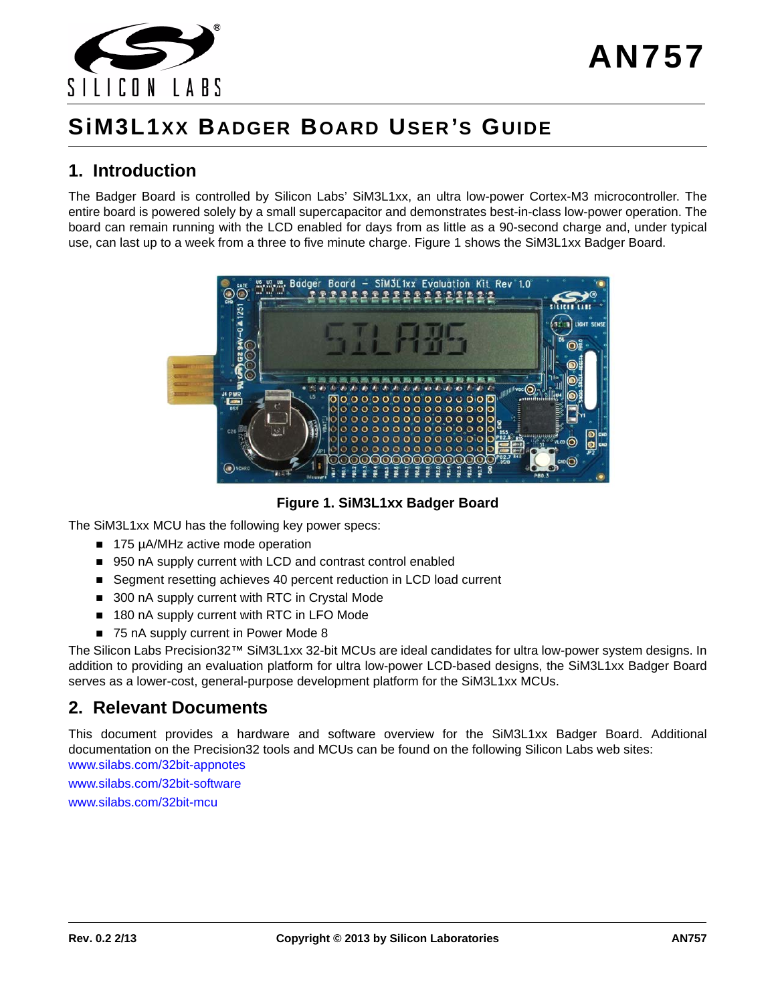

# **SiM3L1XX BADGER BOARD USER 'S GUIDE**

### **1. Introduction**

The Badger Board is controlled by Silicon Labs' SiM3L1xx, an ultra low-power Cortex-M3 microcontroller. The entire board is powered solely by a small supercapacitor and demonstrates best-in-class low-power operation. The board can remain running with the LCD enabled for days from as little as a 90-second charge and, under typical use, can last up to a week from a three to five minute charge. [Figure 1](#page-0-0) shows the SiM3L1xx Badger Board.



**Figure 1. SiM3L1xx Badger Board**

<span id="page-0-0"></span>The SiM3L1xx MCU has the following key power specs:

- 175 µA/MHz active mode operation
- 950 nA supply current with LCD and contrast control enabled
- Segment resetting achieves 40 percent reduction in LCD load current
- 300 nA supply current with RTC in Crystal Mode
- 180 nA supply current with RTC in LFO Mode
- 75 nA supply current in Power Mode 8

The Silicon Labs Precision32™ SiM3L1xx 32-bit MCUs are ideal candidates for ultra low-power system designs. In addition to providing an evaluation platform for ultra low-power LCD-based designs, the SiM3L1xx Badger Board serves as a lower-cost, general-purpose development platform for the SiM3L1xx MCUs.

### **2. Relevant Documents**

[This document provides a hardware and software overview for the SiM3L1xx Badger Board. Additional](www.silabs.com/32bit-appnotes) documentation on the Precision32 tools and MCUs can be found on the following Silicon Labs web sites: www.silabs.com/32bit-appnotes

www.silabs.com/32bit-software

www.silabs.com/32bit-mcu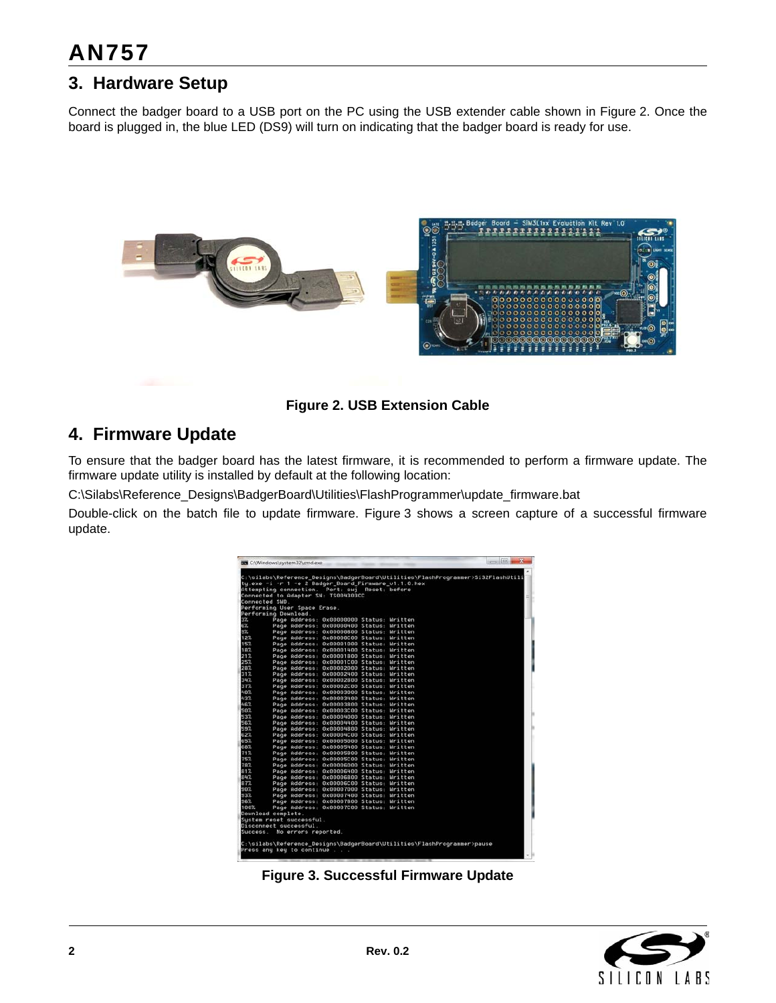# **AN757**

# **3. Hardware Setup**

Connect the badger board to a USB port on the PC using the USB extender cable shown in [Figure 2](#page-1-0). Once the board is plugged in, the blue LED (DS9) will turn on indicating that the badger board is ready for use.



**Figure 2. USB Extension Cable**

# <span id="page-1-2"></span><span id="page-1-0"></span>**4. Firmware Update**

To ensure that the badger board has the latest firmware, it is recommended to perform a firmware update. The firmware update utility is installed by default at the following location:

C:\Silabs\Reference\_Designs\BadgerBoard\Utilities\FlashProgrammer\update\_firmware.bat

Double-click on the batch file to update firmware. [Figure 3](#page-1-1) shows a screen capture of a successful firmware update.

|            |                      |                              | ty.exe -i -r 1 -e 2 Badger Board Firmware v1.1.0.hex<br>Attempting connection. Port: swj Reset: before |  |  |
|------------|----------------------|------------------------------|--------------------------------------------------------------------------------------------------------|--|--|
|            |                      |                              | Connected to Adapter SN: TS004303CC                                                                    |  |  |
|            | Connected SMD.       |                              |                                                                                                        |  |  |
|            |                      | Performing User Space Erase. |                                                                                                        |  |  |
|            | Performing Download. |                              |                                                                                                        |  |  |
| $3\%$      |                      |                              | Page Address: 0x00000000 Status: Written                                                               |  |  |
| 62         |                      |                              | Page Address: 0x00000400 Status: Mritten                                                               |  |  |
| $9\%$      |                      |                              | Page Address: 0x00000800 Status: Mritten                                                               |  |  |
| 12%        |                      |                              | Page Address: 0x00000C00 Status: Mritten                                                               |  |  |
| 15%        |                      |                              | Page Address: 0x00001000 Status: Mritten                                                               |  |  |
| 18%        |                      |                              | Page Address: 0x00001400 Status: Mritten                                                               |  |  |
| 21%        |                      |                              | Page Address: 0x00001800 Status: Mritten                                                               |  |  |
| 25%        |                      |                              | Page Address: 0x00001C00 Status: Written                                                               |  |  |
| 28%        |                      |                              | Page Address: 0x00002000 Status: Mritten                                                               |  |  |
| 31%        |                      |                              | Page Address: 0x00002400 Status: Written                                                               |  |  |
| 347.       |                      |                              | Page Address: 0x00002800 Status: Written                                                               |  |  |
| 37%        |                      |                              | Page Address: 0x00002C00 Status: Written                                                               |  |  |
| 40%        |                      |                              | Page Address: 0x00003000 Status: Mritten                                                               |  |  |
| 437        |                      |                              | Page Address: 0x00003400 Status: Written                                                               |  |  |
| 46%        |                      |                              | Page Address: 0x00003800 Status: Mritten                                                               |  |  |
| 50%        |                      |                              | Page Address: 0x00003C80 Status: Mritten                                                               |  |  |
| 53%        |                      |                              | Page Address: 0x00004000 Status: Written<br>Page Address: 0x00004400 Status: Written                   |  |  |
| 56%<br>597 |                      |                              | Page Address: 0x00004800 Status: Written                                                               |  |  |
| 62%        |                      |                              |                                                                                                        |  |  |
| 65%        |                      |                              | Page Address: 0x00004C00 Status: Mritten<br>Page Address: 0x08005088 Status: Mritten                   |  |  |
| 687        |                      |                              | Page Address: 0x00005400 Status: Written                                                               |  |  |
| 71%        |                      |                              | Page Address: 0x00005800 Status: Mritten                                                               |  |  |
| 75%        |                      |                              | Page Address: 0x00005C00 Status: Mritten                                                               |  |  |
| 787.       |                      |                              | Page Address: 0x00006000 Status: Mritten                                                               |  |  |
| 81%        |                      |                              | Page Address: 0x00006400 Status: Written                                                               |  |  |
| 84%        |                      |                              | Page Address: 0x00006800 Status: Mritten                                                               |  |  |
| 87%        |                      |                              | Page Address: 0x00006C00 Status: Mritten                                                               |  |  |
| 90%        |                      |                              | Page Address: 0x00007000 Status: Mritten                                                               |  |  |
| 93%        |                      |                              | Page Address: 0x00007400 Status: Written                                                               |  |  |
| 36%        |                      |                              | Page Address: 0x00007800 Status: Mritten                                                               |  |  |
| 100%       |                      |                              | Page Address: 0x00007C00 Status: Written                                                               |  |  |
|            | Download complete.   |                              |                                                                                                        |  |  |
|            |                      | Sustem reset successful.     |                                                                                                        |  |  |
|            |                      | Disconnect successful.       |                                                                                                        |  |  |
| Success.   |                      | No errors reported.          |                                                                                                        |  |  |

<span id="page-1-1"></span>**Figure 3. Successful Firmware Update**

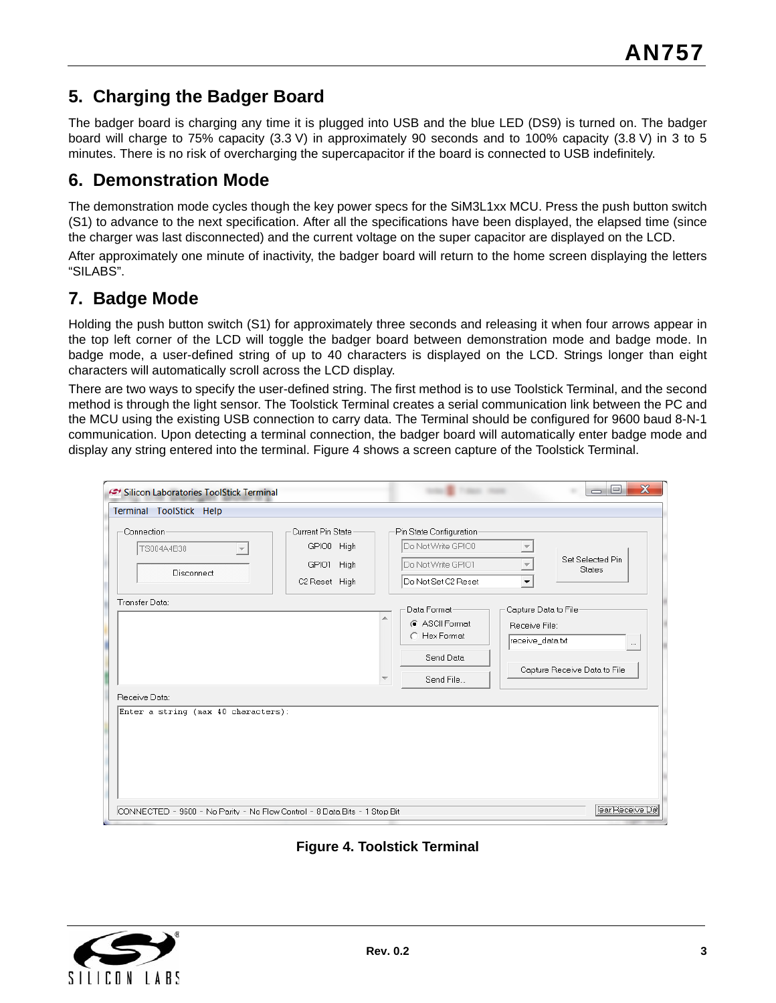## **5. Charging the Badger Board**

The badger board is charging any time it is plugged into USB and the blue LED (DS9) is turned on. The badger board will charge to 75% capacity (3.3 V) in approximately 90 seconds and to 100% capacity (3.8 V) in 3 to 5 minutes. There is no risk of overcharging the supercapacitor if the board is connected to USB indefinitely.

### **6. Demonstration Mode**

The demonstration mode cycles though the key power specs for the SiM3L1xx MCU. Press the push button switch (S1) to advance to the next specification. After all the specifications have been displayed, the elapsed time (since the charger was last disconnected) and the current voltage on the super capacitor are displayed on the LCD.

After approximately one minute of inactivity, the badger board will return to the home screen displaying the letters "SILABS".

### **7. Badge Mode**

Holding the push button switch (S1) for approximately three seconds and releasing it when four arrows appear in the top left corner of the LCD will toggle the badger board between demonstration mode and badge mode. In badge mode, a user-defined string of up to 40 characters is displayed on the LCD. Strings longer than eight characters will automatically scroll across the LCD display.

There are two ways to specify the user-defined string. The first method is to use Toolstick Terminal, and the second method is through the light sensor. The Toolstick Terminal creates a serial communication link between the PC and the MCU using the existing USB connection to carry data. The Terminal should be configured for 9600 baud 8-N-1 communication. Upon detecting a terminal connection, the badger board will automatically enter badge mode and display any string entered into the terminal. [Figure 4](#page-2-0) shows a screen capture of the Toolstick Terminal.

| Silicon Laboratories ToolStick Terminal                                                                                       |                                                                                                                                                                            | $\overline{\mathbf{x}}$<br>$=$<br>$\equiv$ |
|-------------------------------------------------------------------------------------------------------------------------------|----------------------------------------------------------------------------------------------------------------------------------------------------------------------------|--------------------------------------------|
| Terminal ToolStick Help                                                                                                       |                                                                                                                                                                            |                                            |
| Connection<br>Current Pin State<br>GPIO0 High<br>TS004A4B38<br>$\overline{\psi}$<br>GPI01 High<br>Disconnect<br>C2 Reset High | Pin State Configuration<br>Do Not Write GPIO0<br>$\overline{\phantom{m}}$<br>Do Not Write GPI01<br>$\overline{\phantom{a}}$<br>Do Not Set C2 Reset<br>$\blacktriangledown$ | Set Selected Pin<br><b>States</b>          |
| Transfer Data:<br>Receive Data:                                                                                               | Data Format-<br>Capture Data to File<br>∸<br>C ASCII Format<br>Receive File:<br>C Hex Format<br>receive_data.txt<br>Send Data<br>Send File<br>▼                            | $\cdots$<br>Capture Receive Data to File   |
| Enter a string (max 40 characters):<br>CONNECTED - 9600 - No Parity - No Flow Control - 8 Data Bits - 1 Stop Bit              |                                                                                                                                                                            | lear Receive Da                            |

**Figure 4. Toolstick Terminal**

<span id="page-2-0"></span>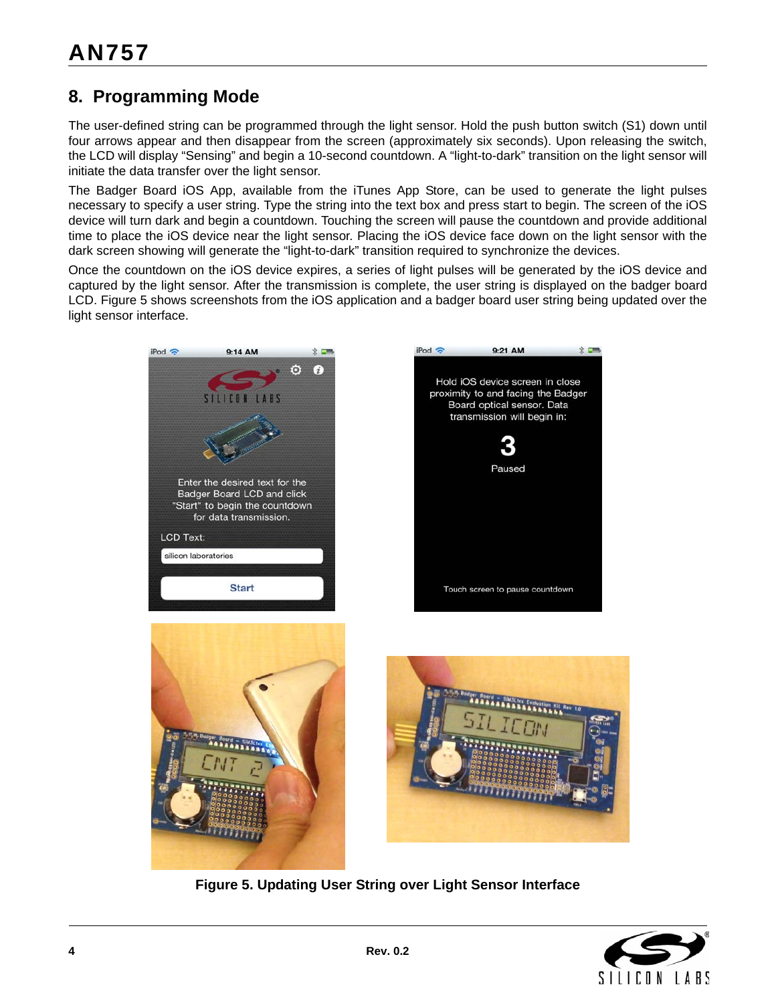# **8. Programming Mode**

The user-defined string can be programmed through the light sensor. Hold the push button switch (S1) down until four arrows appear and then disappear from the screen (approximately six seconds). Upon releasing the switch, the LCD will display "Sensing" and begin a 10-second countdown. A "light-to-dark" transition on the light sensor will initiate the data transfer over the light sensor.

The Badger Board iOS App, available from the iTunes App Store, can be used to generate the light pulses necessary to specify a user string. Type the string into the text box and press start to begin. The screen of the iOS device will turn dark and begin a countdown. Touching the screen will pause the countdown and provide additional time to place the iOS device near the light sensor. Placing the iOS device face down on the light sensor with the dark screen showing will generate the "light-to-dark" transition required to synchronize the devices.

Once the countdown on the iOS device expires, a series of light pulses will be generated by the iOS device and captured by the light sensor. After the transmission is complete, the user string is displayed on the badger board LCD. [Figure 5](#page-3-0) shows screenshots from the iOS application and a badger board user string being updated over the light sensor interface.







<span id="page-3-0"></span>

**Figure 5. Updating User String over Light Sensor Interface**

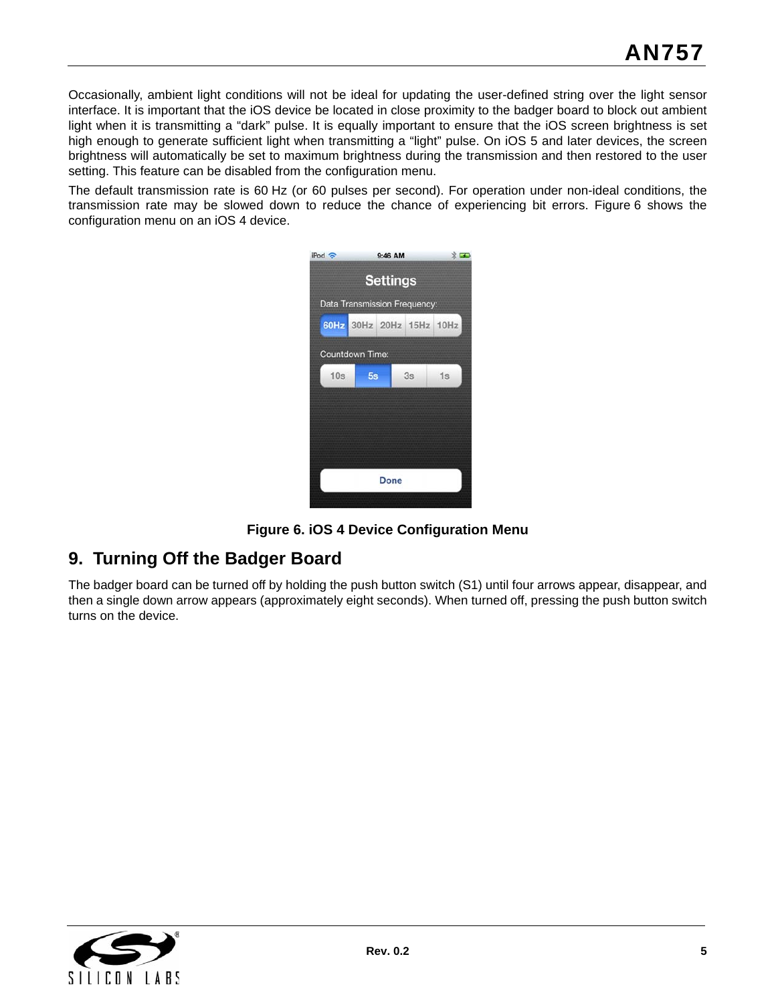Occasionally, ambient light conditions will not be ideal for updating the user-defined string over the light sensor interface. It is important that the iOS device be located in close proximity to the badger board to block out ambient light when it is transmitting a "dark" pulse. It is equally important to ensure that the iOS screen brightness is set high enough to generate sufficient light when transmitting a "light" pulse. On iOS 5 and later devices, the screen brightness will automatically be set to maximum brightness during the transmission and then restored to the user setting. This feature can be disabled from the configuration menu.

The default transmission rate is 60 Hz (or 60 pulses per second). For operation under non-ideal conditions, the transmission rate may be slowed down to reduce the chance of experiencing bit errors. [Figure 6](#page-4-0) shows the configuration menu on an iOS 4 device.

| iPod ?                       | 9:46 AM                  |  |  |    | $\frac{1}{2}$ |  |
|------------------------------|--------------------------|--|--|----|---------------|--|
| <b>Settings</b>              |                          |  |  |    |               |  |
| Data Transmission Frequency: |                          |  |  |    |               |  |
|                              | 60Hz 30Hz 20Hz 15Hz 10Hz |  |  |    |               |  |
|                              | Countdown Time:          |  |  |    |               |  |
| 10s                          | 5s                       |  |  | 3s | 1s            |  |
|                              |                          |  |  |    |               |  |
|                              |                          |  |  |    |               |  |
|                              |                          |  |  |    |               |  |
| <b>Done</b>                  |                          |  |  |    |               |  |
|                              |                          |  |  |    |               |  |



## <span id="page-4-0"></span>**9. Turning Off the Badger Board**

The badger board can be turned off by holding the push button switch (S1) until four arrows appear, disappear, and then a single down arrow appears (approximately eight seconds). When turned off, pressing the push button switch turns on the device.

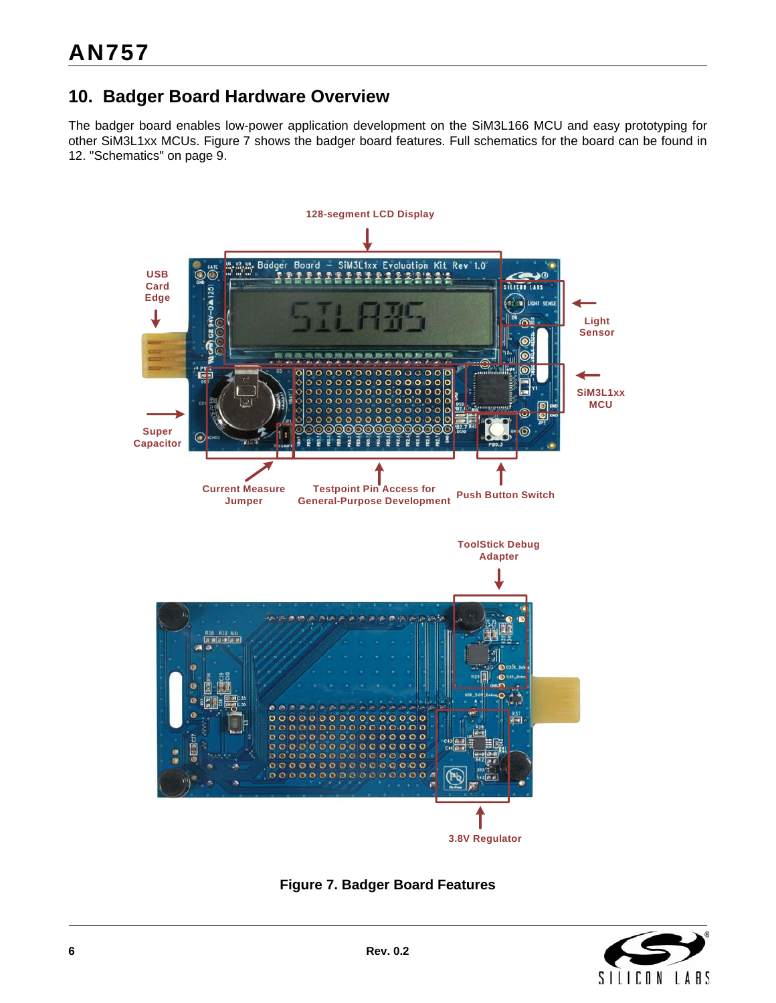# **10. Badger Board Hardware Overview**

The badger board enables low-power application development on the SiM3L166 MCU and easy prototyping for other SiM3L1xx MCUs. [Figure 7](#page-5-0) shows the badger board features. Full schematics for the board can be found in [12. "Schematics" on page 9.](#page-8-0)



**Figure 7. Badger Board Features**

<span id="page-5-0"></span>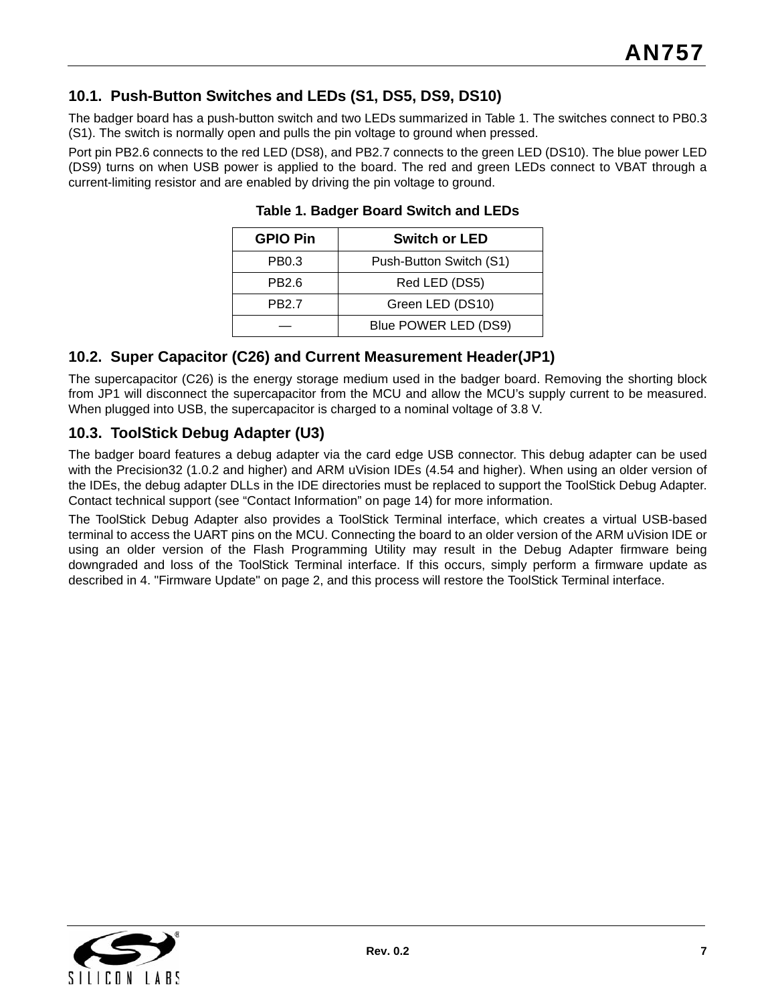### **10.1. Push-Button Switches and LEDs (S1, DS5, DS9, DS10)**

The badger board has a push-button switch and two LEDs summarized in [Table 1.](#page-6-0) The switches connect to PB0.3 (S1). The switch is normally open and pulls the pin voltage to ground when pressed.

<span id="page-6-0"></span>Port pin PB2.6 connects to the red LED (DS8), and PB2.7 connects to the green LED (DS10). The blue power LED (DS9) turns on when USB power is applied to the board. The red and green LEDs connect to VBAT through a current-limiting resistor and are enabled by driving the pin voltage to ground.

| <b>GPIO Pin</b> | <b>Switch or LED</b>    |  |  |
|-----------------|-------------------------|--|--|
| PB0.3           | Push-Button Switch (S1) |  |  |
| PB2.6           | Red LED (DS5)           |  |  |
| <b>PB2.7</b>    | Green LED (DS10)        |  |  |
|                 | Blue POWER LED (DS9)    |  |  |

**Table 1. Badger Board Switch and LEDs**

#### **10.2. Super Capacitor (C26) and Current Measurement Header(JP1)**

The supercapacitor (C26) is the energy storage medium used in the badger board. Removing the shorting block from JP1 will disconnect the supercapacitor from the MCU and allow the MCU's supply current to be measured. When plugged into USB, the supercapacitor is charged to a nominal voltage of 3.8 V.

#### **10.3. ToolStick Debug Adapter (U3)**

The badger board features a debug adapter via the card edge USB connector. This debug adapter can be used with the Precision32 (1.0.2 and higher) and ARM uVision IDEs (4.54 and higher). When using an older version of the IDEs, the debug adapter DLLs in the IDE directories must be replaced to support the ToolStick Debug Adapter. Contact technical support (see "Contact Information" on page [14](#page-13-0)) for more information.

The ToolStick Debug Adapter also provides a ToolStick Terminal interface, which creates a virtual USB-based terminal to access the UART pins on the MCU. Connecting the board to an older version of the ARM uVision IDE or using an older version of the Flash Programming Utility may result in the Debug Adapter firmware being downgraded and loss of the ToolStick Terminal interface. If this occurs, simply perform a firmware update as described in [4. "Firmware Update" on page 2,](#page-1-2) and this process will restore the ToolStick Terminal interface.

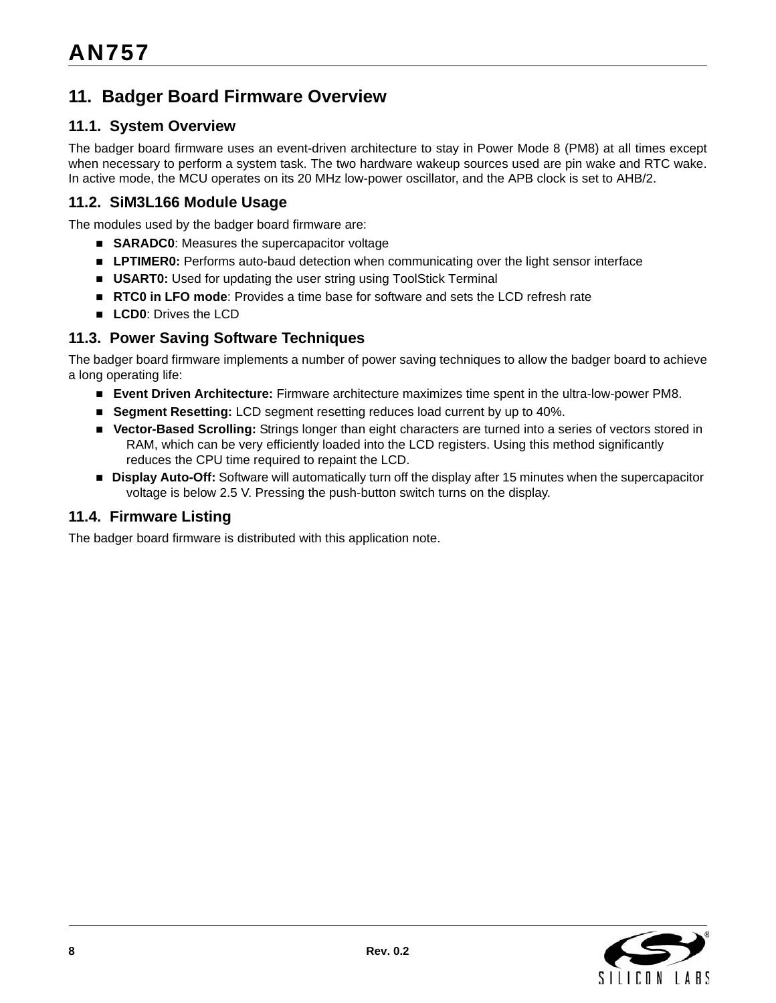# **11. Badger Board Firmware Overview**

#### **11.1. System Overview**

The badger board firmware uses an event-driven architecture to stay in Power Mode 8 (PM8) at all times except when necessary to perform a system task. The two hardware wakeup sources used are pin wake and RTC wake. In active mode, the MCU operates on its 20 MHz low-power oscillator, and the APB clock is set to AHB/2.

#### **11.2. SiM3L166 Module Usage**

The modules used by the badger board firmware are:

- **SARADC0**: Measures the supercapacitor voltage
- **LPTIMER0:** Performs auto-baud detection when communicating over the light sensor interface
- **USART0:** Used for updating the user string using ToolStick Terminal
- **RTC0 in LFO mode**: Provides a time base for software and sets the LCD refresh rate
- **LCD0: Drives the LCD**

#### **11.3. Power Saving Software Techniques**

The badger board firmware implements a number of power saving techniques to allow the badger board to achieve a long operating life:

- **Event Driven Architecture:** Firmware architecture maximizes time spent in the ultra-low-power PM8.
- **Segment Resetting: LCD** segment resetting reduces load current by up to 40%.
- **Vector-Based Scrolling:** Strings longer than eight characters are turned into a series of vectors stored in RAM, which can be very efficiently loaded into the LCD registers. Using this method significantly reduces the CPU time required to repaint the LCD.
- **Display Auto-Off:** Software will automatically turn off the display after 15 minutes when the supercapacitor voltage is below 2.5 V. Pressing the push-button switch turns on the display.

#### **11.4. Firmware Listing**

The badger board firmware is distributed with this application note.

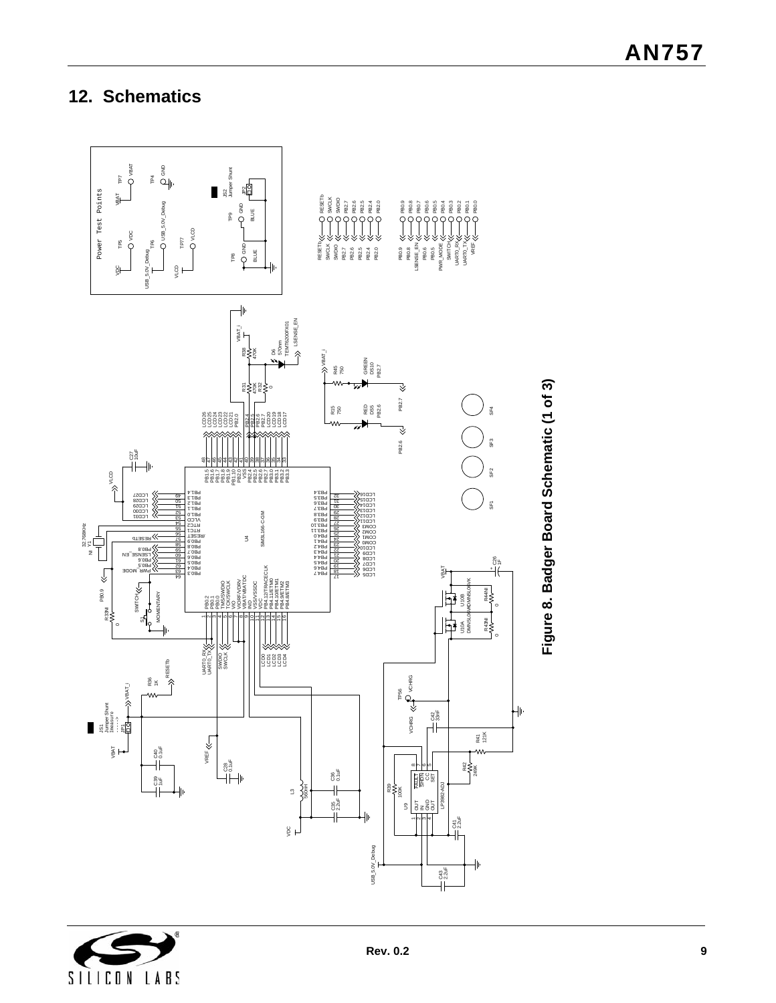# <span id="page-8-0"></span>**12. Schematics**



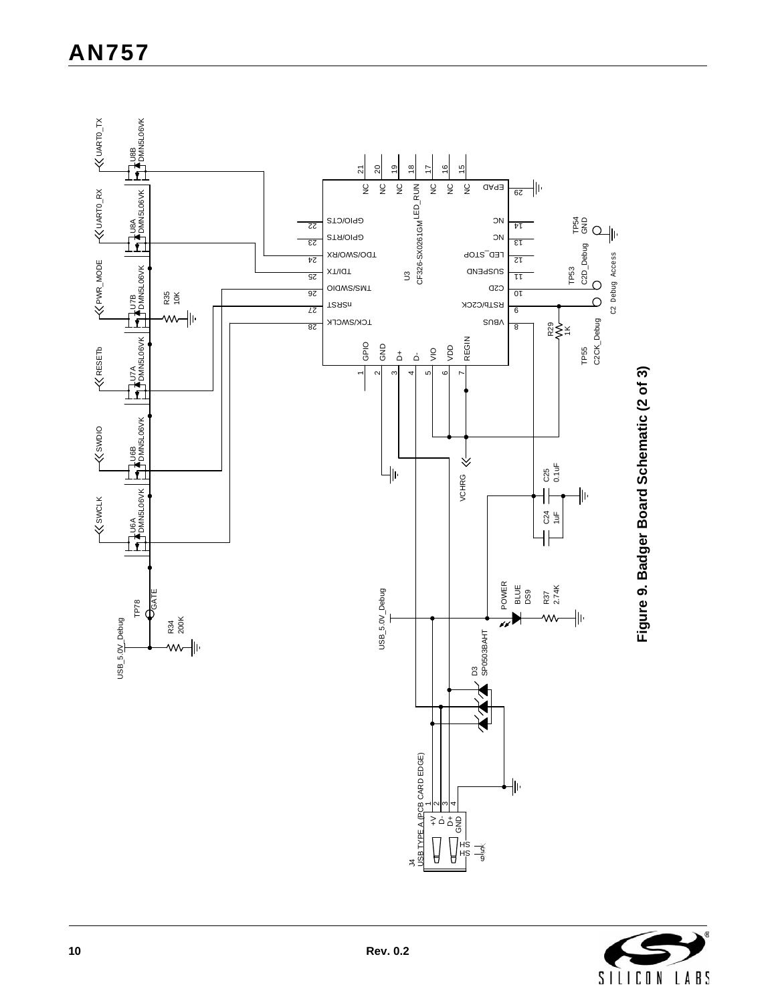

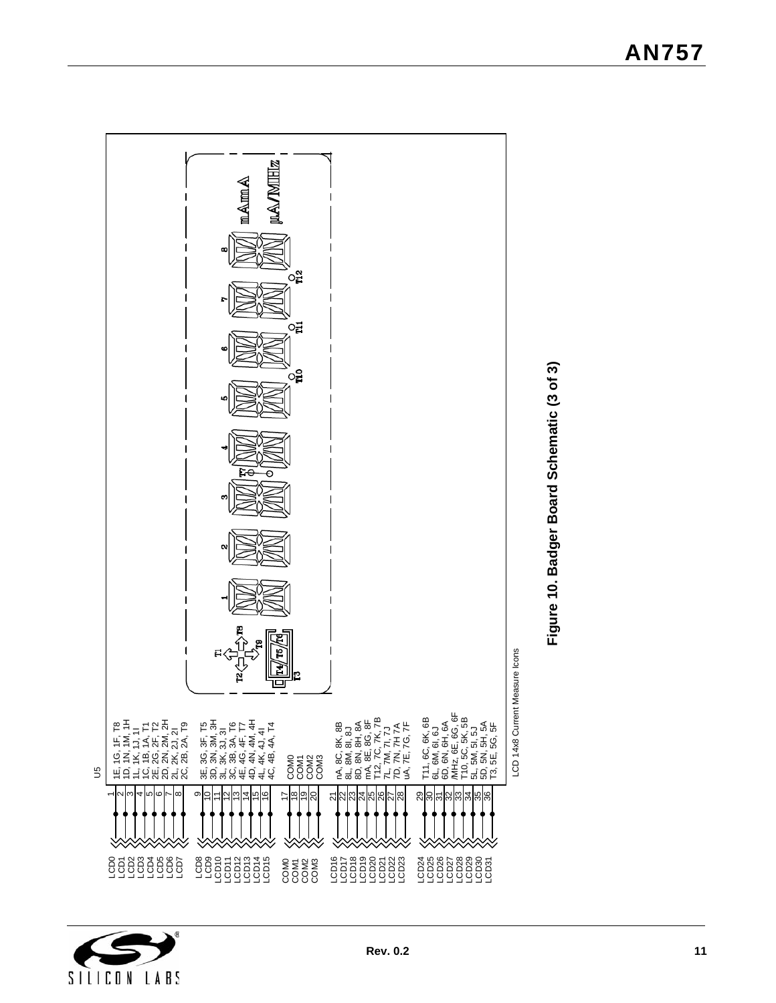



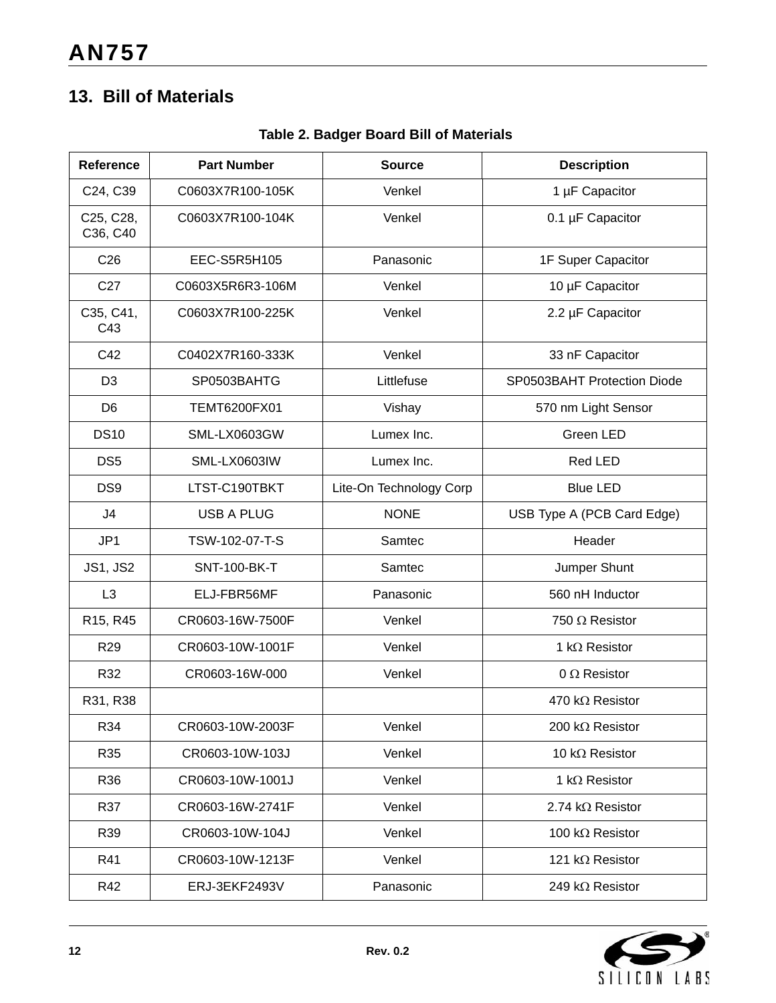# **13. Bill of Materials**

| Reference             | <b>Part Number</b>  | <b>Source</b>           | <b>Description</b>          |
|-----------------------|---------------------|-------------------------|-----------------------------|
| C24, C39              | C0603X7R100-105K    | Venkel                  | 1 µF Capacitor              |
| C25, C28,<br>C36, C40 | C0603X7R100-104K    | Venkel                  | 0.1 µF Capacitor            |
| C <sub>26</sub>       | EEC-S5R5H105        | Panasonic               | 1F Super Capacitor          |
| C <sub>27</sub>       | C0603X5R6R3-106M    | Venkel                  | 10 µF Capacitor             |
| C35, C41,<br>C43      | C0603X7R100-225K    | Venkel                  | 2.2 µF Capacitor            |
| C42                   | C0402X7R160-333K    | Venkel                  | 33 nF Capacitor             |
| D <sub>3</sub>        | SP0503BAHTG         | Littlefuse              | SP0503BAHT Protection Diode |
| D <sub>6</sub>        | TEMT6200FX01        | Vishay                  | 570 nm Light Sensor         |
| <b>DS10</b>           | SML-LX0603GW        | Lumex Inc.              | Green LED                   |
| DS <sub>5</sub>       | SML-LX0603IW        | Lumex Inc.              | Red LED                     |
| DS9                   | LTST-C190TBKT       | Lite-On Technology Corp | <b>Blue LED</b>             |
| J4                    | <b>USB A PLUG</b>   | <b>NONE</b>             | USB Type A (PCB Card Edge)  |
| JP1                   | TSW-102-07-T-S      | Samtec                  | Header                      |
| <b>JS1, JS2</b>       | <b>SNT-100-BK-T</b> | Samtec                  | Jumper Shunt                |
| L <sub>3</sub>        | ELJ-FBR56MF         | Panasonic               | 560 nH Inductor             |
| R15, R45              | CR0603-16W-7500F    | Venkel                  | 750 $\Omega$ Resistor       |
| R <sub>29</sub>       | CR0603-10W-1001F    | Venkel                  | 1 k $\Omega$ Resistor       |
| R32                   | CR0603-16W-000      | Venkel                  | 0 $\Omega$ Resistor         |
| R31, R38              |                     |                         | 470 kΩ Resistor             |
| R34                   | CR0603-10W-2003F    | Venkel                  | 200 kΩ Resistor             |
| R35                   | CR0603-10W-103J     | Venkel                  | 10 k $\Omega$ Resistor      |
| R36                   | CR0603-10W-1001J    | Venkel                  | 1 k $\Omega$ Resistor       |
| R37                   | CR0603-16W-2741F    | Venkel                  | 2.74 k $\Omega$ Resistor    |
| R39                   | CR0603-10W-104J     | Venkel                  | 100 k $\Omega$ Resistor     |
| R41                   | CR0603-10W-1213F    | Venkel                  | 121 k $\Omega$ Resistor     |
| R42                   | ERJ-3EKF2493V       | Panasonic               | 249 k $\Omega$ Resistor     |

### **Table 2. Badger Board Bill of Materials**

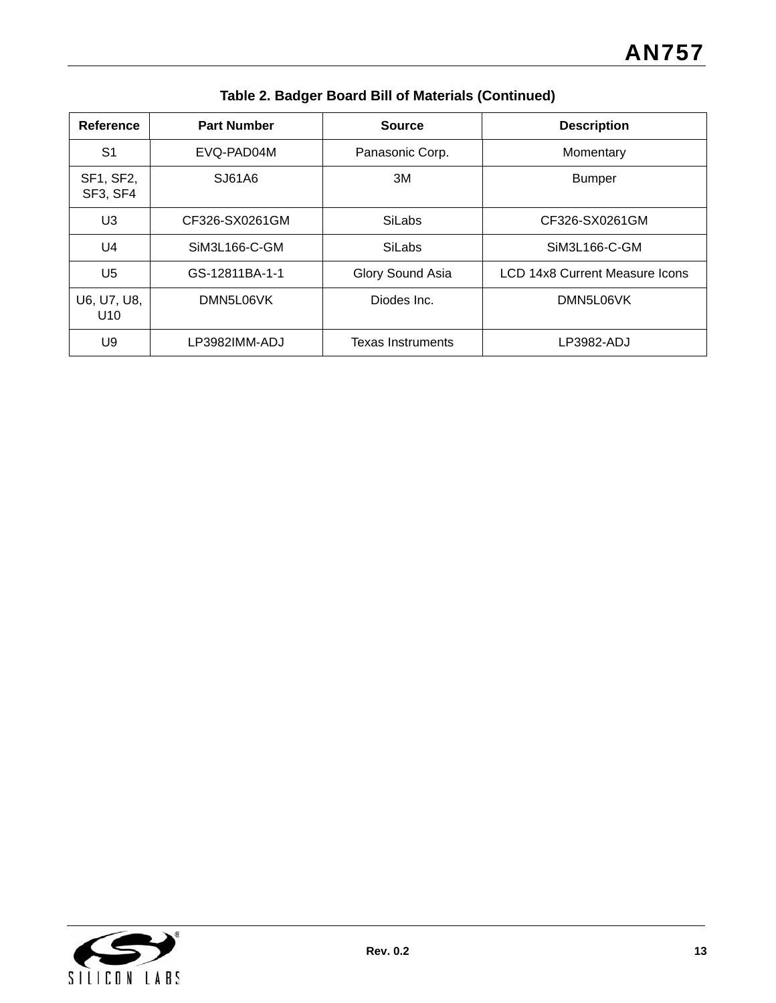| Reference                      | <b>Part Number</b> | <b>Source</b>            | <b>Description</b>             |
|--------------------------------|--------------------|--------------------------|--------------------------------|
| S <sub>1</sub>                 | EVQ-PAD04M         | Panasonic Corp.          | Momentary                      |
| SF1, SF2,<br>SF3, SF4          | SJ61A6             | 3M                       | <b>Bumper</b>                  |
| U <sub>3</sub>                 | CF326-SX0261GM     | <b>SiLabs</b>            | CF326-SX0261GM                 |
| U <sub>4</sub>                 | SiM3L166-C-GM      | <b>SiLabs</b>            | SiM3L166-C-GM                  |
| U5                             | GS-12811BA-1-1     | Glory Sound Asia         | LCD 14x8 Current Measure Icons |
| U6, U7, U8,<br>U <sub>10</sub> | DMN5L06VK          | Diodes Inc.              | DMN5L06VK                      |
| U9                             | LP3982IMM-ADJ      | <b>Texas Instruments</b> | LP3982-ADJ                     |

**Table 2. Badger Board Bill of Materials (Continued)**